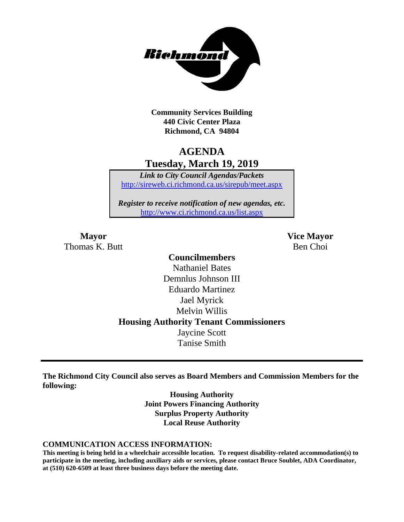

**Community Services Building 440 Civic Center Plaza Richmond, CA 94804**

## **AGENDA Tuesday, March 19, 2019**

*Link to City Council Agendas/Packets* <http://sireweb.ci.richmond.ca.us/sirepub/meet.aspx>

*Register to receive notification of new agendas, etc.* <http://www.ci.richmond.ca.us/list.aspx>

Thomas K. Butt Ben Choi

**Mayor Vice Mayor**

## **Councilmembers** Nathaniel Bates Demnlus Johnson III Eduardo Martinez Jael Myrick Melvin Willis **Housing Authority Tenant Commissioners** Jaycine Scott Tanise Smith

**The Richmond City Council also serves as Board Members and Commission Members for the following:**

> **Housing Authority Joint Powers Financing Authority Surplus Property Authority Local Reuse Authority**

#### **COMMUNICATION ACCESS INFORMATION:**

**This meeting is being held in a wheelchair accessible location. To request disability-related accommodation(s) to participate in the meeting, including auxiliary aids or services, please contact Bruce Soublet, ADA Coordinator, at (510) 620-6509 at least three business days before the meeting date.**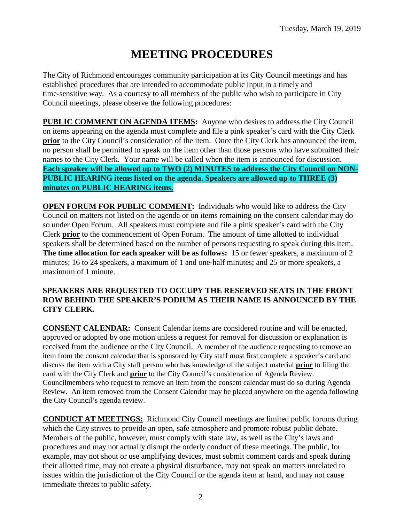# **MEETING PROCEDURES**

The City of Richmond encourages community participation at its City Council meetings and has established procedures that are intended to accommodate public input in a timely and time-sensitive way. As a courtesy to all members of the public who wish to participate in City Council meetings, please observe the following procedures:

**PUBLIC COMMENT ON AGENDA ITEMS:** Anyone who desires to address the City Council on items appearing on the agenda must complete and file a pink speaker's card with the City Clerk **prior** to the City Council's consideration of the item. Once the City Clerk has announced the item, no person shall be permitted to speak on the item other than those persons who have submitted their names to the City Clerk. Your name will be called when the item is announced for discussion. **Each speaker will be allowed up to TWO (2) MINUTES to address the City Council on NON-PUBLIC HEARING items listed on the agenda. Speakers are allowed up to THREE (3) minutes on PUBLIC HEARING items.**

**OPEN FORUM FOR PUBLIC COMMENT:** Individuals who would like to address the City Council on matters not listed on the agenda or on items remaining on the consent calendar may do so under Open Forum. All speakers must complete and file a pink speaker's card with the City Clerk **prior** to the commencement of Open Forum. The amount of time allotted to individual speakers shall be determined based on the number of persons requesting to speak during this item. **The time allocation for each speaker will be as follows:** 15 or fewer speakers, a maximum of 2 minutes; 16 to 24 speakers, a maximum of 1 and one-half minutes; and 25 or more speakers, a maximum of 1 minute.

## **SPEAKERS ARE REQUESTED TO OCCUPY THE RESERVED SEATS IN THE FRONT ROW BEHIND THE SPEAKER'S PODIUM AS THEIR NAME IS ANNOUNCED BY THE CITY CLERK.**

**CONSENT CALENDAR:** Consent Calendar items are considered routine and will be enacted, approved or adopted by one motion unless a request for removal for discussion or explanation is received from the audience or the City Council. A member of the audience requesting to remove an item from the consent calendar that is sponsored by City staff must first complete a speaker's card and discuss the item with a City staff person who has knowledge of the subject material **prior** to filing the card with the City Clerk and **prior** to the City Council's consideration of Agenda Review. Councilmembers who request to remove an item from the consent calendar must do so during Agenda Review. An item removed from the Consent Calendar may be placed anywhere on the agenda following the City Council's agenda review.

**CONDUCT AT MEETINGS:** Richmond City Council meetings are limited public forums during which the City strives to provide an open, safe atmosphere and promote robust public debate. Members of the public, however, must comply with state law, as well as the City's laws and procedures and may not actually disrupt the orderly conduct of these meetings. The public, for example, may not shout or use amplifying devices, must submit comment cards and speak during their allotted time, may not create a physical disturbance, may not speak on matters unrelated to issues within the jurisdiction of the City Council or the agenda item at hand, and may not cause immediate threats to public safety.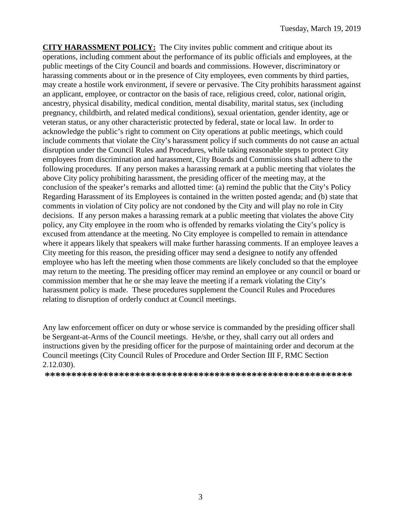**CITY HARASSMENT POLICY:** The City invites public comment and critique about its operations, including comment about the performance of its public officials and employees, at the public meetings of the City Council and boards and commissions. However, discriminatory or harassing comments about or in the presence of City employees, even comments by third parties, may create a hostile work environment, if severe or pervasive. The City prohibits harassment against an applicant, employee, or contractor on the basis of race, religious creed, color, national origin, ancestry, physical disability, medical condition, mental disability, marital status, sex (including pregnancy, childbirth, and related medical conditions), sexual orientation, gender identity, age or veteran status, or any other characteristic protected by federal, state or local law. In order to acknowledge the public's right to comment on City operations at public meetings, which could include comments that violate the City's harassment policy if such comments do not cause an actual disruption under the Council Rules and Procedures, while taking reasonable steps to protect City employees from discrimination and harassment, City Boards and Commissions shall adhere to the following procedures. If any person makes a harassing remark at a public meeting that violates the above City policy prohibiting harassment, the presiding officer of the meeting may, at the conclusion of the speaker's remarks and allotted time: (a) remind the public that the City's Policy Regarding Harassment of its Employees is contained in the written posted agenda; and (b) state that comments in violation of City policy are not condoned by the City and will play no role in City decisions. If any person makes a harassing remark at a public meeting that violates the above City policy, any City employee in the room who is offended by remarks violating the City's policy is excused from attendance at the meeting. No City employee is compelled to remain in attendance where it appears likely that speakers will make further harassing comments. If an employee leaves a City meeting for this reason, the presiding officer may send a designee to notify any offended employee who has left the meeting when those comments are likely concluded so that the employee may return to the meeting. The presiding officer may remind an employee or any council or board or commission member that he or she may leave the meeting if a remark violating the City's harassment policy is made. These procedures supplement the Council Rules and Procedures relating to disruption of orderly conduct at Council meetings.

Any law enforcement officer on duty or whose service is commanded by the presiding officer shall be Sergeant-at-Arms of the Council meetings. He/she, or they, shall carry out all orders and instructions given by the presiding officer for the purpose of maintaining order and decorum at the Council meetings (City Council Rules of Procedure and Order Section III F, RMC Section 2.12.030).

**\*\*\*\*\*\*\*\*\*\*\*\*\*\*\*\*\*\*\*\*\*\*\*\*\*\*\*\*\*\*\*\*\*\*\*\*\*\*\*\*\*\*\*\*\*\*\*\*\*\*\*\*\*\*\*\*\*\***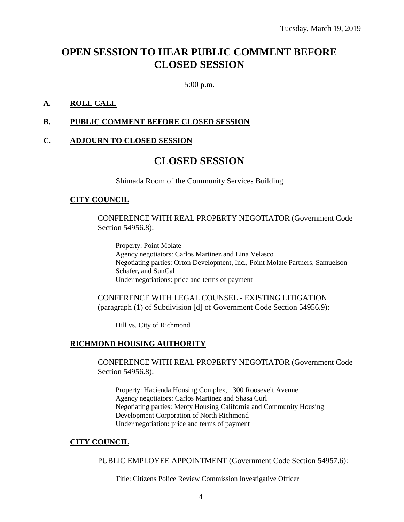## **OPEN SESSION TO HEAR PUBLIC COMMENT BEFORE CLOSED SESSION**

5:00 p.m.

## **A. ROLL CALL**

### **B. PUBLIC COMMENT BEFORE CLOSED SESSION**

#### **C. ADJOURN TO CLOSED SESSION**

## **CLOSED SESSION**

Shimada Room of the Community Services Building

#### **CITY COUNCIL**

CONFERENCE WITH REAL PROPERTY NEGOTIATOR (Government Code Section 54956.8):

Property: Point Molate Agency negotiators: Carlos Martinez and Lina Velasco Negotiating parties: Orton Development, Inc., Point Molate Partners, Samuelson Schafer, and SunCal Under negotiations: price and terms of payment

CONFERENCE WITH LEGAL COUNSEL - EXISTING LITIGATION (paragraph (1) of Subdivision [d] of Government Code Section 54956.9):

Hill vs. City of Richmond

#### **RICHMOND HOUSING AUTHORITY**

CONFERENCE WITH REAL PROPERTY NEGOTIATOR (Government Code Section 54956.8):

Property: Hacienda Housing Complex, 1300 Roosevelt Avenue Agency negotiators: Carlos Martinez and Shasa Curl Negotiating parties: Mercy Housing California and Community Housing Development Corporation of North Richmond Under negotiation: price and terms of payment

#### **CITY COUNCIL**

PUBLIC EMPLOYEE APPOINTMENT (Government Code Section 54957.6):

Title: Citizens Police Review Commission Investigative Officer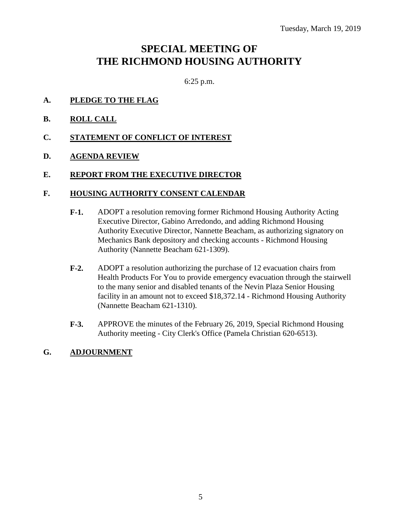## **SPECIAL MEETING OF THE RICHMOND HOUSING AUTHORITY**

6:25 p.m.

- **A. PLEDGE TO THE FLAG**
- **B. ROLL CALL**
- **C. STATEMENT OF CONFLICT OF INTEREST**
- **D. AGENDA REVIEW**

#### **E. REPORT FROM THE EXECUTIVE DIRECTOR**

#### **F. HOUSING AUTHORITY CONSENT CALENDAR**

- **F-1.** ADOPT a resolution removing former Richmond Housing Authority Acting Executive Director, Gabino Arredondo, and adding Richmond Housing Authority Executive Director, Nannette Beacham, as authorizing signatory on Mechanics Bank depository and checking accounts - Richmond Housing Authority (Nannette Beacham 621-1309).
- **F-2.** ADOPT a resolution authorizing the purchase of 12 evacuation chairs from Health Products For You to provide emergency evacuation through the stairwell to the many senior and disabled tenants of the Nevin Plaza Senior Housing facility in an amount not to exceed \$18,372.14 - Richmond Housing Authority (Nannette Beacham 621-1310).
- **F-3.** APPROVE the minutes of the February 26, 2019, Special Richmond Housing Authority meeting - City Clerk's Office (Pamela Christian 620-6513).

#### **G. ADJOURNMENT**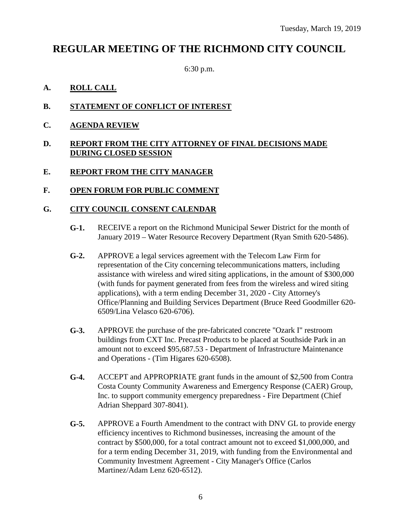## **REGULAR MEETING OF THE RICHMOND CITY COUNCIL**

6:30 p.m.

## **A. ROLL CALL**

- **B. STATEMENT OF CONFLICT OF INTEREST**
- **C. AGENDA REVIEW**

### **D. REPORT FROM THE CITY ATTORNEY OF FINAL DECISIONS MADE DURING CLOSED SESSION**

## **E. REPORT FROM THE CITY MANAGER**

## **F. OPEN FORUM FOR PUBLIC COMMENT**

## **G. CITY COUNCIL CONSENT CALENDAR**

- **G-1.** RECEIVE a report on the Richmond Municipal Sewer District for the month of January 2019 – Water Resource Recovery Department (Ryan Smith 620-5486).
- **G-2.** APPROVE a legal services agreement with the Telecom Law Firm for representation of the City concerning telecommunications matters, including assistance with wireless and wired siting applications, in the amount of \$300,000 (with funds for payment generated from fees from the wireless and wired siting applications), with a term ending December 31, 2020 - City Attorney's Office/Planning and Building Services Department (Bruce Reed Goodmiller 620- 6509/Lina Velasco 620-6706).
- **G-3.** APPROVE the purchase of the pre-fabricated concrete "Ozark I" restroom buildings from CXT Inc. Precast Products to be placed at Southside Park in an amount not to exceed \$95,687.53 - Department of Infrastructure Maintenance and Operations - (Tim Higares 620-6508).
- **G-4.** ACCEPT and APPROPRIATE grant funds in the amount of \$2,500 from Contra Costa County Community Awareness and Emergency Response (CAER) Group, Inc. to support community emergency preparedness - Fire Department (Chief Adrian Sheppard 307-8041).
- **G-5.** APPROVE a Fourth Amendment to the contract with DNV GL to provide energy efficiency incentives to Richmond businesses, increasing the amount of the contract by \$500,000, for a total contract amount not to exceed \$1,000,000, and for a term ending December 31, 2019, with funding from the Environmental and Community Investment Agreement - City Manager's Office (Carlos Martinez/Adam Lenz 620-6512).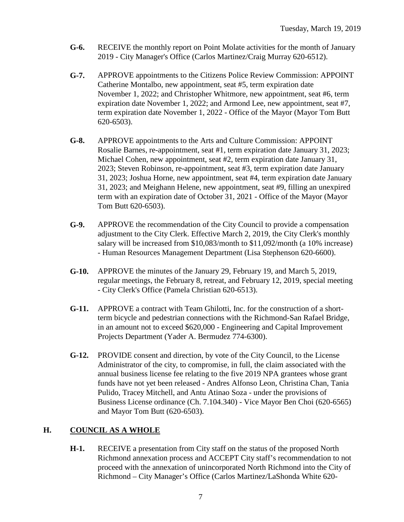- **G-6.** RECEIVE the monthly report on Point Molate activities for the month of January 2019 - City Manager's Office (Carlos Martinez/Craig Murray 620-6512).
- **G-7.** APPROVE appointments to the Citizens Police Review Commission: APPOINT Catherine Montalbo, new appointment, seat #5, term expiration date November 1, 2022; and Christopher Whitmore, new appointment, seat #6, term expiration date November 1, 2022; and Armond Lee, new appointment, seat #7, term expiration date November 1, 2022 - Office of the Mayor (Mayor Tom Butt 620-6503).
- **G-8.** APPROVE appointments to the Arts and Culture Commission: APPOINT Rosalie Barnes, re-appointment, seat #1, term expiration date January 31, 2023; Michael Cohen, new appointment, seat #2, term expiration date January 31, 2023; Steven Robinson, re-appointment, seat #3, term expiration date January 31, 2023; Joshua Horne, new appointment, seat #4, term expiration date January 31, 2023; and Meighann Helene, new appointment, seat #9, filling an unexpired term with an expiration date of October 31, 2021 - Office of the Mayor (Mayor Tom Butt 620-6503).
- **G-9.** APPROVE the recommendation of the City Council to provide a compensation adjustment to the City Clerk. Effective March 2, 2019, the City Clerk's monthly salary will be increased from \$10,083/month to \$11,092/month (a 10% increase) - Human Resources Management Department (Lisa Stephenson 620-6600).
- **G-10.** APPROVE the minutes of the January 29, February 19, and March 5, 2019, regular meetings, the February 8, retreat, and February 12, 2019, special meeting - City Clerk's Office (Pamela Christian 620-6513).
- **G-11.** APPROVE a contract with Team Ghilotti, Inc. for the construction of a shortterm bicycle and pedestrian connections with the Richmond-San Rafael Bridge, in an amount not to exceed \$620,000 - Engineering and Capital Improvement Projects Department (Yader A. Bermudez 774-6300).
- **G-12.** PROVIDE consent and direction, by vote of the City Council, to the License Administrator of the city, to compromise, in full, the claim associated with the annual business license fee relating to the five 2019 NPA grantees whose grant funds have not yet been released - Andres Alfonso Leon, Christina Chan, Tania Pulido, Tracey Mitchell, and Antu Atinao Soza - under the provisions of Business License ordinance (Ch. 7.104.340) - Vice Mayor Ben Choi (620-6565) and Mayor Tom Butt (620-6503).

## **H. COUNCIL AS A WHOLE**

**H-1.** RECEIVE a presentation from City staff on the status of the proposed North Richmond annexation process and ACCEPT City staff's recommendation to not proceed with the annexation of unincorporated North Richmond into the City of Richmond – City Manager's Office (Carlos Martinez/LaShonda White 620